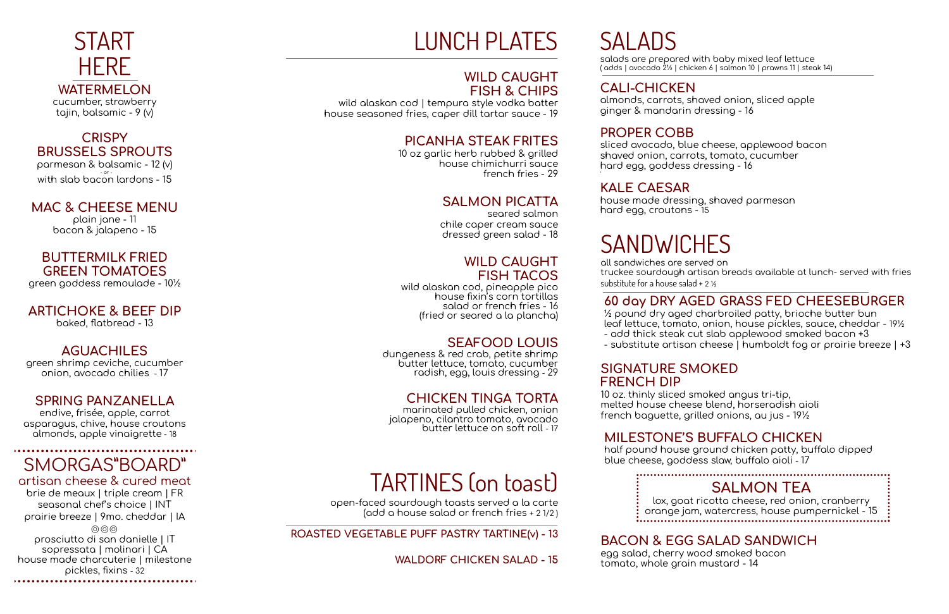## HERE **WATERMELON** cucumber, strawberry

**START** 

tajin, balsamic - 9 (v)

#### **CRISPY BRUSSELS SPROUTS**

parmesan & balsamic - 12 (v) - or - with slab bacon lardons - 15

## **MAC & CHEESE MENU**

plain jane - 11 bacon & jalapeno - 15

## **BUTTERMILK FRIED GREEN TOMATOES**

green goddess remoulade - 10½

#### **ARTICHOKE & BEEF DIP** baked, flatbread - 13

## **AGUACHILES**

green shrimp ceviche, cucumber onion, avocado chilies - 17

## **SPRING PANZANELLA**

endive, frisée, apple, carrot asparagus, chive, house croutons almonds, apple vinaigrette - 18

## SMORGAS"BOARD"

artisan cheese & cured meat brie de meaux | triple cream | FR seasonal chef's choice | INT prairie breeze | 9mo. cheddar | IA  $(0)$  $(0)$ prosciutto di san danielle | IT sopressata | molinari | CA house made charcuterie | milestone pickles, fixins - 32

# LUNCH PLATES

#### **WILD CAUGHT FISH & CHIPS**

wild alaskan cod | tempura style vodka batter house seasoned fries, caper dill tartar sauce - 19

## **PICANHA STEAK FRITES**

10 oz garlic herb rubbed & grilled house chimichurri sauce french fries - 29

#### **SALMON PICATTA**

seared salmon chile caper cream sauce dressed green salad - 18

#### **WILD CAUGHT FISH TACOS**

wild alaskan cod, pineapple pico house fixin's corn tortillas salad or french fries - 16 (fried or seared a la plancha)

## **SEAFOOD LOUIS**

dungeness & red crab, petite shrimp butter lettuce, tomato, cucumber radish, egg, louis dressing - 29

#### **CHICKEN TINGA TORTA**

lox, goat ricotta cheese, red onion, cranberry orange jam, watercress, house pumpernickel - 15

marinated pulled chicken, onion jalapeno, cilantro tomato, avocado butter lettuce on soft roll - 17

# TARTINES (on toast)

open-faced sourdough toasts served a la carte (add a house salad or french fries + 2 1/2 )

**ROASTED VEGETABLE PUFF PASTRY TARTINE(v) - 13**

**WALDORF CHICKEN SALAD - 15**

SALADS

salads are prepared with baby mixed leaf lettuce ( adds | avocado 2½ | chicken 6 | salmon 10 | prawns 11 | steak 14)

**CALI-CHICKEN**

almonds, carrots, shaved onion, sliced apple ginger & mandarin dressing - 16

**PROPER COBB**

sliced avocado, blue cheese, applewood bacon shaved onion, carrots, tomato, cucumber hard egg, goddess dressing - 16

'

**KALE CAESAR**

house made dressing, shaved parmesan hard egg, croutons - 15

# **SANDWICHES**

all sandwiches are served on truckee sourdough artisan breads available at lunch- served with fries substitute for a house salad + 2 ½

#### **60 day DRY AGED GRASS FED CHEESEBURGER**

½ pound dry aged charbroiled patty, brioche butter bun leaf lettuce, tomato, onion, house pickles, sauce, cheddar - 19½ - add thick steak cut slab applewood smoked bacon +3 - substitute artisan cheese | humboldt fog or prairie breeze | +3

## **SIGNATURE SMOKED**

**FRENCH DIP**

10 oz. thinly sliced smoked angus tri-tip, melted house cheese blend, horseradish aioli french baguette, grilled onions, au jus - 19½

#### **MILESTONE'S BUFFALO CHICKEN**

half pound house ground chicken patty, buffalo dipped blue cheese, goddess slaw, buffalo aioli - 17

#### **SALMON TEA**

## **BACON & EGG SALAD SANDWICH**

egg salad, cherry wood smoked bacon tomato, whole grain mustard - 14